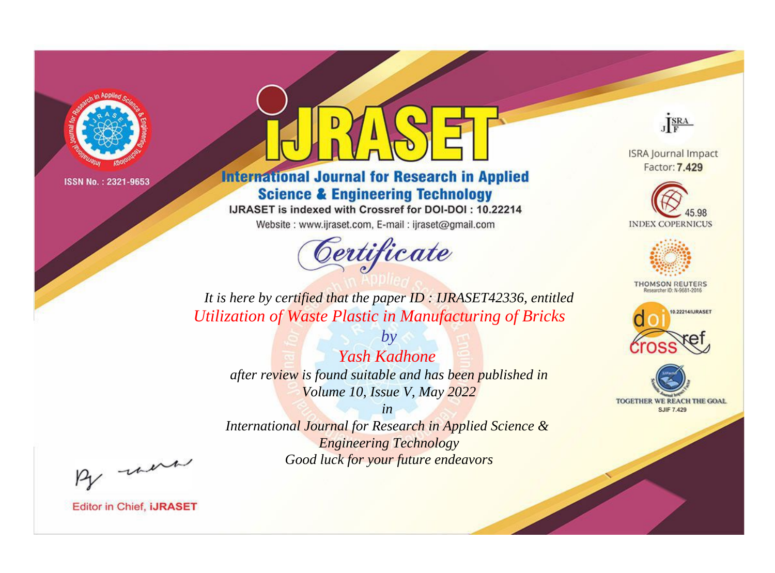

# **International Journal for Research in Applied Science & Engineering Technology**

IJRASET is indexed with Crossref for DOI-DOI: 10.22214

Website: www.ijraset.com, E-mail: ijraset@gmail.com



JERA

**ISRA Journal Impact** Factor: 7.429





**THOMSON REUTERS** 



TOGETHER WE REACH THE GOAL **SJIF 7.429** 

*It is here by certified that the paper ID : IJRASET42336, entitled Utilization of Waste Plastic in Manufacturing of Bricks*

*by Yash Kadhone after review is found suitable and has been published in Volume 10, Issue V, May 2022*

*in* 

*International Journal for Research in Applied Science & Engineering Technology Good luck for your future endeavors*

By morn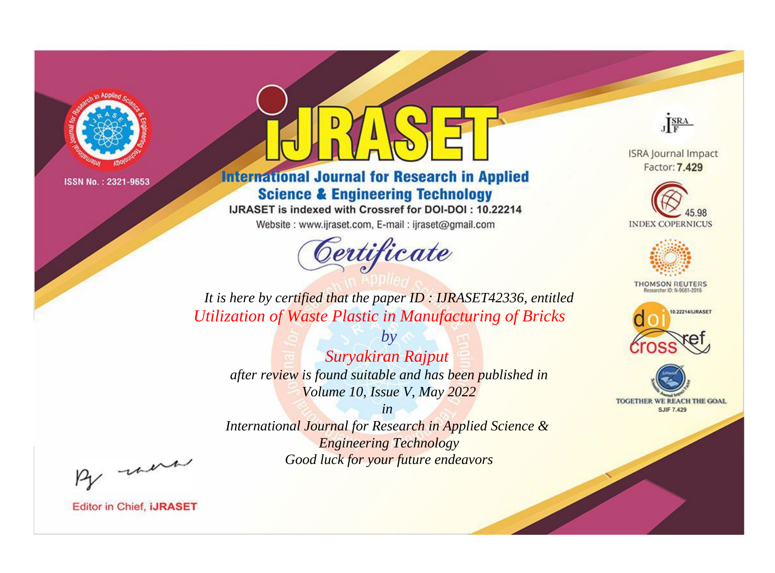

# **International Journal for Research in Applied Science & Engineering Technology**

IJRASET is indexed with Crossref for DOI-DOI: 10.22214

Website: www.ijraset.com, E-mail: ijraset@gmail.com



JERA

**ISRA Journal Impact** Factor: 7.429





**THOMSON REUTERS** 



TOGETHER WE REACH THE GOAL **SJIF 7.429** 

*It is here by certified that the paper ID : IJRASET42336, entitled Utilization of Waste Plastic in Manufacturing of Bricks*

*Suryakiran Rajput after review is found suitable and has been published in Volume 10, Issue V, May 2022*

*by*

*in* 

*International Journal for Research in Applied Science & Engineering Technology Good luck for your future endeavors*

By morn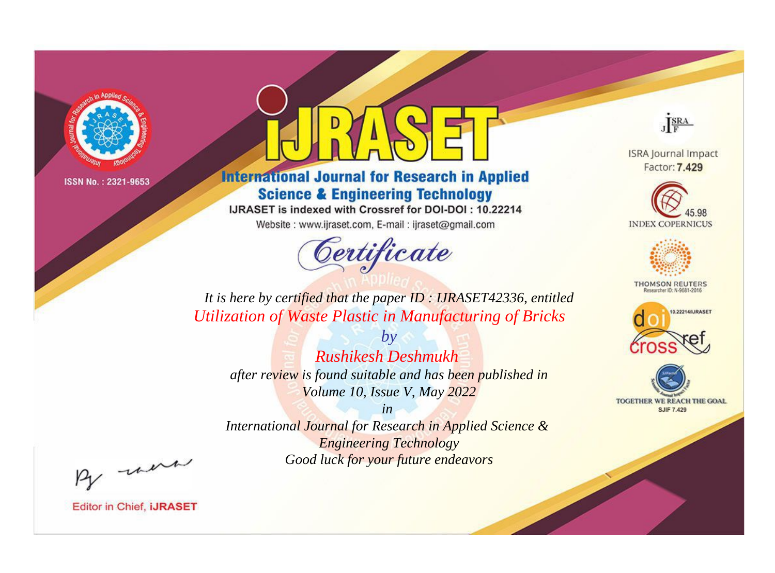

# **International Journal for Research in Applied Science & Engineering Technology**

IJRASET is indexed with Crossref for DOI-DOI: 10.22214

Website: www.ijraset.com, E-mail: ijraset@gmail.com



JERA

**ISRA Journal Impact** Factor: 7.429





**THOMSON REUTERS** 



TOGETHER WE REACH THE GOAL **SJIF 7.429** 

*It is here by certified that the paper ID : IJRASET42336, entitled Utilization of Waste Plastic in Manufacturing of Bricks*

*Rushikesh Deshmukh after review is found suitable and has been published in Volume 10, Issue V, May 2022*

*by*

*in* 

*International Journal for Research in Applied Science & Engineering Technology Good luck for your future endeavors*

By morn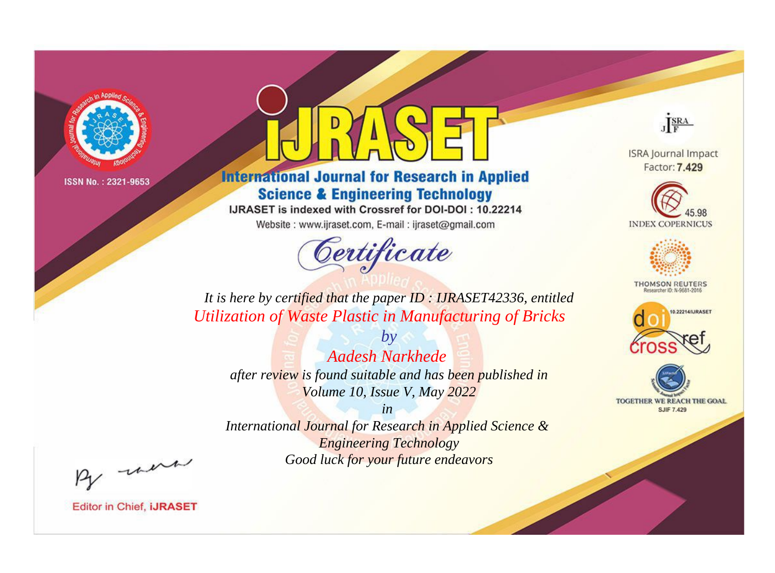

# **International Journal for Research in Applied Science & Engineering Technology**

IJRASET is indexed with Crossref for DOI-DOI: 10.22214

Website: www.ijraset.com, E-mail: ijraset@gmail.com



JERA

**ISRA Journal Impact** Factor: 7.429





**THOMSON REUTERS** 



TOGETHER WE REACH THE GOAL **SJIF 7.429** 

*It is here by certified that the paper ID : IJRASET42336, entitled Utilization of Waste Plastic in Manufacturing of Bricks*

*Aadesh Narkhede after review is found suitable and has been published in Volume 10, Issue V, May 2022*

*by*

*in* 

*International Journal for Research in Applied Science & Engineering Technology Good luck for your future endeavors*

By morn